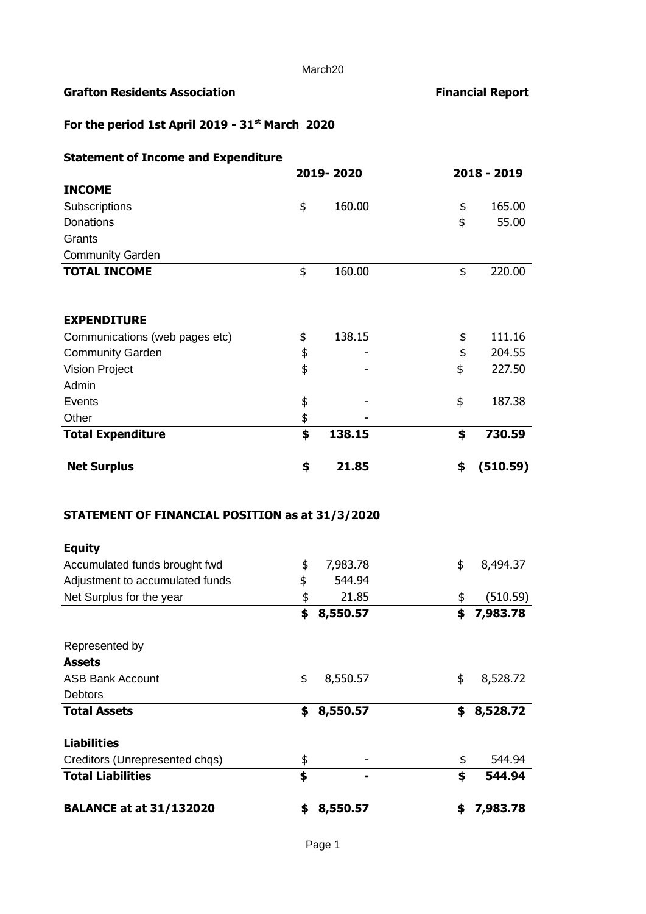# **Grafton Residents Association Financial Report**

# **For the period 1st April 2019 - 31st March 2020**

| <b>Statement of Income and Expenditure</b>      |           |        |    |             |  |
|-------------------------------------------------|-----------|--------|----|-------------|--|
|                                                 | 2019-2020 |        |    | 2018 - 2019 |  |
| <b>INCOME</b>                                   |           |        |    |             |  |
| Subscriptions                                   | \$        | 160.00 | \$ | 165.00      |  |
| <b>Donations</b>                                |           |        | \$ | 55.00       |  |
| Grants                                          |           |        |    |             |  |
| <b>Community Garden</b>                         |           |        |    |             |  |
| <b>TOTAL INCOME</b>                             | \$        | 160.00 | \$ | 220.00      |  |
| <b>EXPENDITURE</b>                              |           |        |    |             |  |
| Communications (web pages etc)                  | \$        | 138.15 | \$ | 111.16      |  |
| <b>Community Garden</b>                         | \$        |        | \$ | 204.55      |  |
| Vision Project                                  | \$        |        | \$ | 227.50      |  |
| Admin                                           |           |        |    |             |  |
| Events                                          | \$        |        | \$ | 187.38      |  |
| Other                                           | \$        |        |    |             |  |
| <b>Total Expenditure</b>                        |           | 138.15 | \$ | 730.59      |  |
| <b>Net Surplus</b>                              | \$        | 21.85  | \$ | (510.59)    |  |
| STATEMENT OF FINANCIAL POSITION as at 31/3/2020 |           |        |    |             |  |
| <b>Equity</b>                                   |           |        |    |             |  |
| Accumulated funds brought fwd                   | ፍ         | 798378 | ፍ  | 8 494 37    |  |

| Accumulated funds brought fwd   | \$ | 7,983.78 | \$ | 8,494.37 |
|---------------------------------|----|----------|----|----------|
| Adjustment to accumulated funds | \$ | 544.94   |    |          |
| Net Surplus for the year        | \$ | 21.85    | \$ | (510.59) |
|                                 | \$ | 8,550.57 | \$ | 7,983.78 |
| Represented by                  |    |          |    |          |
| <b>Assets</b>                   |    |          |    |          |
| <b>ASB Bank Account</b>         | \$ | 8,550.57 | \$ | 8,528.72 |
| <b>Debtors</b>                  |    |          |    |          |
| <b>Total Assets</b>             | \$ | 8,550.57 | \$ | 8,528.72 |
| <b>Liabilities</b>              |    |          |    |          |
| Creditors (Unrepresented chqs)  | \$ |          | \$ | 544.94   |
| <b>Total Liabilities</b>        | \$ |          | \$ | 544.94   |
| <b>BALANCE at at 31/132020</b>  | S  | 8,550.57 | S  | 7,983.78 |